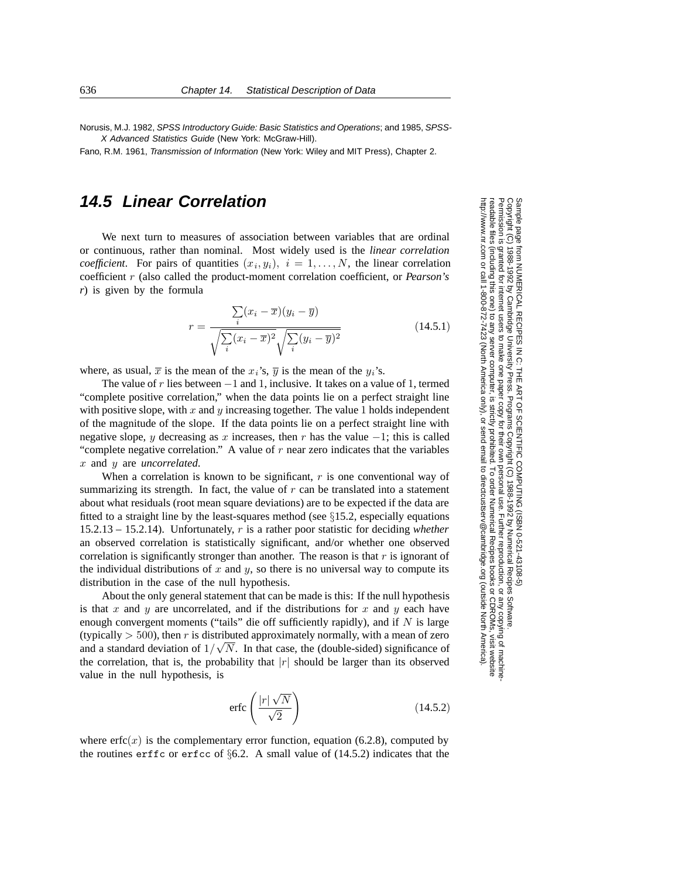Norusis, M.J. 1982, SPSS Introductory Guide: Basic Statistics and Operations; and 1985, SPSS-X Advanced Statistics Guide (New York: McGraw-Hill).

Fano, R.M. 1961, Transmission of Information (New York: Wiley and MIT Press), Chapter 2.

## **14.5 Linear Correlation**

We next turn to measures of association between variables that are ordinal or continuous, rather than nominal. Most widely used is the *linear correlation coefficient*. For pairs of quantities  $(x_i, y_i)$ ,  $i = 1, \ldots, N$ , the linear correlation coefficient r (also called the product-moment correlation coefficient, or *Pearson's r*) is given by the formula

$$
r = \frac{\sum_{i} (x_i - \overline{x})(y_i - \overline{y})}{\sqrt{\sum_{i} (x_i - \overline{x})^2} \sqrt{\sum_{i} (y_i - \overline{y})^2}}
$$
(14.5.1)

where, as usual,  $\overline{x}$  is the mean of the  $x_i$ 's,  $\overline{y}$  is the mean of the  $y_i$ 's.

The value of r lies between  $-1$  and 1, inclusive. It takes on a value of 1, termed "complete positive correlation," when the data points lie on a perfect straight line with positive slope, with  $x$  and  $y$  increasing together. The value 1 holds independent of the magnitude of the slope. If the data points lie on a perfect straight line with negative slope, y decreasing as x increases, then r has the value  $-1$ ; this is called "complete negative correlation." A value of  $r$  near zero indicates that the variables x and y are *uncorrelated*.

When a correlation is known to be significant,  $r$  is one conventional way of summarizing its strength. In fact, the value of  $r$  can be translated into a statement about what residuals (root mean square deviations) are to be expected if the data are fitted to a straight line by the least-squares method (see  $\S 15.2$ , especially equations 15.2.13 – 15.2.14). Unfortunately, r is a rather poor statistic for deciding *whether* an observed correlation is statistically significant, and/or whether one observed correlation is significantly stronger than another. The reason is that  $r$  is ignorant of the individual distributions of  $x$  and  $y$ , so there is no universal way to compute its distribution in the case of the null hypothesis.

About the only general statement that can be made is this: If the null hypothesis is that  $x$  and  $y$  are uncorrelated, and if the distributions for  $x$  and  $y$  each have enough convergent moments ("tails" die off sufficiently rapidly), and if  $N$  is large (typically  $> 500$ ), then r is distributed approximately normally, with a mean of zero and a standard deviation of  $1/\sqrt{N}$ . In that case, the (double-sided) significance of the correlation, that is, the probability that  $|r|$  should be larger than its observed value in the null hypothesis, is

$$
\text{erfc}\left(\frac{|r| \sqrt{N}}{\sqrt{2}}\right) \tag{14.5.2}
$$

where  $erfc(x)$  is the complementary error function, equation (6.2.8), computed by the routines erffc or erfcc of  $\S6.2$ . A small value of (14.5.2) indicates that the

Sample page from NUMERICAL RECIPES IN C: THE<br>Copyright (C) 1988-1992 by Cambridge University Pres Copyright (C) 1988-1992 by Cambridge University Press.Sample page from NUMERICAL RECIPES IN C: THE ART OF SCIENTIFIC COMPUTING (ISBN 0-521-43108-5) readable files (including this one) to any serverPermission is granted for internet users to make one paper copy for their own personal use. Further reproduction, or any copyin Permission is from NUMERICAL RECIPES IN C: THE ART OF SCIENTIFIC COMPUTING (ISBN 0-521-43108-5)<br>1988-1992 by Cambridge University Press. Programs Copyright (C) 1988-1992 by Numerical Recipes Software. computer, is strictly prohibited. To order Numerical Recipes booksPrograms Copyright (C) 1988-1992 by Numerical Recipes Software. or CDROMs, visit website g of machine-

or send email to directcustserv@cambridge.org (outside North America).

http://www.nr.com or call 1-800-872-7423 (North America only),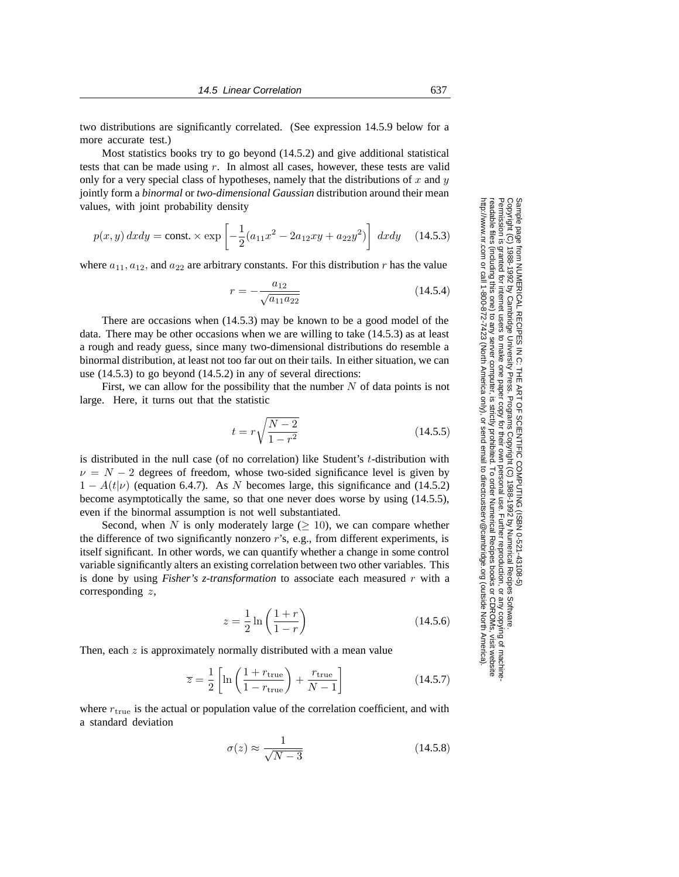two distributions are significantly correlated. (See expression 14.5.9 below for a more accurate test.)

Most statistics books try to go beyond (14.5.2) and give additional statistical tests that can be made using r. In almost all cases, however, these tests are valid only for a very special class of hypotheses, namely that the distributions of x and  $y$ jointly form a *binormal* or *two-dimensional Gaussian* distribution around their mean values, with joint probability density

$$
p(x,y) \, dx \, dy = \text{const.} \times \exp\left[ -\frac{1}{2} (a_{11}x^2 - 2a_{12}xy + a_{22}y^2) \right] \, dx \, dy \tag{14.5.3}
$$

where  $a_{11}, a_{12}$ , and  $a_{22}$  are arbitrary constants. For this distribution r has the value

$$
r = -\frac{a_{12}}{\sqrt{a_{11}a_{22}}} \tag{14.5.4}
$$

There are occasions when (14.5.3) may be known to be a good model of the data. There may be other occasions when we are willing to take (14.5.3) as at least a rough and ready guess, since many two-dimensional distributions do resemble a binormal distribution, at least not too far out on their tails. In either situation, we can use (14.5.3) to go beyond (14.5.2) in any of several directions:

First, we can allow for the possibility that the number  $N$  of data points is not large. Here, it turns out that the statistic

$$
t = r\sqrt{\frac{N-2}{1-r^2}}\tag{14.5.5}
$$

is distributed in the null case (of no correlation) like Student's  $t$ -distribution with  $\nu = N - 2$  degrees of freedom, whose two-sided significance level is given by  $1 - A(t|\nu)$  (equation 6.4.7). As N becomes large, this significance and (14.5.2) become asymptotically the same, so that one never does worse by using (14.5.5), even if the binormal assumption is not well substantiated.

Second, when N is only moderately large  $(> 10)$ , we can compare whether the difference of two significantly nonzero r's, e.g., from different experiments, is itself significant. In other words, we can quantify whether a change in some control variable significantly alters an existing correlation between two other variables. This is done by using *Fisher's z-transformation* to associate each measured r with a corresponding z,

$$
z = \frac{1}{2} \ln \left( \frac{1+r}{1-r} \right)
$$
 (14.5.6)

Then, each  $z$  is approximately normally distributed with a mean value

$$
\overline{z} = \frac{1}{2} \left[ \ln \left( \frac{1 + r_{\text{true}}}{1 - r_{\text{true}}} \right) + \frac{r_{\text{true}}}{N - 1} \right]
$$
(14.5.7)

where  $r_{true}$  is the actual or population value of the correlation coefficient, and with a standard deviation

$$
\sigma(z) \approx \frac{1}{\sqrt{N-3}}\tag{14.5.8}
$$

Permission is granted for internet users to make one paper copy for their own personal use. Further reproduction, or any copyin Copyright (C) 1988-1992 by Cambridge University Press.Programs Copyright (C) 1988-1992 by Numerical Recipes Software. Sample page from NUMERICAL RECIPES IN C: THE ART OF SCIENTIFIC COMPUTING (ISBN 0-521-43108-5) g of machinereadable files (including this one) to any servercomputer, is strictly prohibited. To order Numerical Recipes booksor CDROMs, visit website http://www.nr.com or call 1-800-872-7423 (North America only),or send email to directcustserv@cambridge.org (outside North America).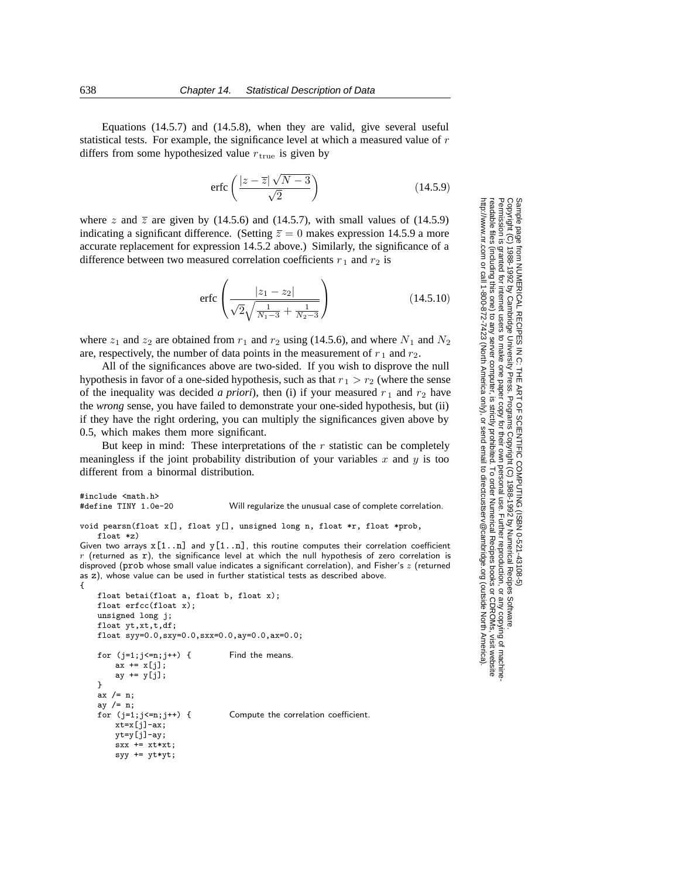Equations (14.5.7) and (14.5.8), when they are valid, give several useful statistical tests. For example, the significance level at which a measured value of r differs from some hypothesized value  $r_{true}$  is given by

$$
\text{erfc}\left(\frac{|z-\overline{z}|\sqrt{N-3}}{\sqrt{2}}\right) \tag{14.5.9}
$$

where z and  $\overline{z}$  are given by (14.5.6) and (14.5.7), with small values of (14.5.9) indicating a significant difference. (Setting  $\overline{z} = 0$  makes expression 14.5.9 a more accurate replacement for expression 14.5.2 above.) Similarly, the significance of a difference between two measured correlation coefficients  $r_1$  and  $r_2$  is

$$
\text{erfc}\left(\frac{|z_1 - z_2|}{\sqrt{2}\sqrt{\frac{1}{N_1 - 3} + \frac{1}{N_2 - 3}}}\right) \tag{14.5.10}
$$

where  $z_1$  and  $z_2$  are obtained from  $r_1$  and  $r_2$  using (14.5.6), and where  $N_1$  and  $N_2$ are, respectively, the number of data points in the measurement of  $r_1$  and  $r_2$ .

All of the significances above are two-sided. If you wish to disprove the null hypothesis in favor of a one-sided hypothesis, such as that  $r_1 > r_2$  (where the sense of the inequality was decided *a priori*), then (i) if your measured  $r_1$  and  $r_2$  have the *wrong* sense, you have failed to demonstrate your one-sided hypothesis, but (ii) if they have the right ordering, you can multiply the significances given above by 0.5, which makes them more significant.

But keep in mind: These interpretations of the  $r$  statistic can be completely meaningless if the joint probability distribution of your variables x and  $y$  is too different from a binormal distribution.

```
#include <math.h><br>#define TINY 1.0e-20
                                     Will regularize the unusual case of complete correlation.
void pearsn(float x[], float y[], unsigned long n, float *r, float *prob,
    float *z)
Given two arrays x[1..n] and y[1..n], this routine computes their correlation coefficient
r (returned as r), the significance level at which the null hypothesis of zero correlation is
disproved (prob whose small value indicates a significant correlation), and Fisher's z (returned
as z), whose value can be used in further statistical tests as described above.
{
    float betai(float a, float b, float x);
    float erfcc(float x);
    unsigned long j;
    float yt, xt, t, df;
    float syy=0.0,sxy=0.0,sxx=0.0,ay=0.0,ax=0.0;
```

```
for (i=1; i \le n; i++) { Find the means.
    ax += x[j];ay += y[j];
}
ax /= n;
ay /= n;<br>for (j=1;j<=n;j++) {
                                Compute the correlation coefficient.
    xt = x[j] - ax;yt=y[j]-ay;
    sxx += xt*xt;
    syy += yt*yt;
```
Permission is granted for internet users to make one paper copy for their own personal use. Further reproduction, or any copyin Copyright (C) 1988-1992 by Cambridge University Press.Programs Copyright (C) 1988-1992 by Numerical Recipes Software. Sample page from NUMERICAL RECIPES IN C: THE ART OF SCIENTIFIC COMPUTING (ISBN 0-521-43108-5) g of machinereadable files (including this one) to any servercomputer, is strictly prohibited. To order Numerical Recipes booksor CDROMs, visit website http://www.nr.com or call 1-800-872-7423 (North America only),or send email to directcustserv@cambridge.org (outside North America).